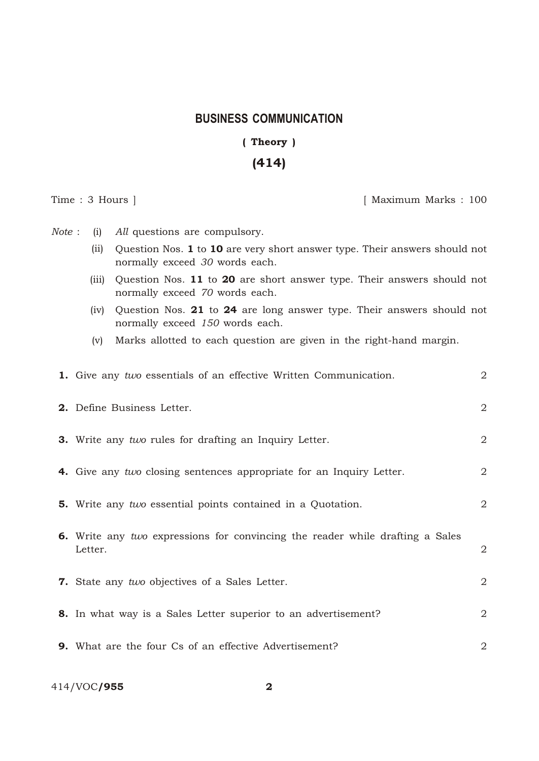## **BUSINESS COMMUNICATION**

## (Theory)

## (414)

Time : 3 Hours ] [ Maximum Marks : 100

*Note* : (i) *All* questions are compulsory.

- (ii) Question Nos. 1 to 10 are very short answer type. Their answers should not normally exceed *30* words each.
- (iii) Question Nos. 11 to 20 are short answer type. Their answers should not normally exceed *70* words each.
- (iv) Question Nos. 21 to 24 are long answer type. Their answers should not normally exceed *150* words each.
- (v) Marks allotted to each question are given in the right-hand margin.

| 1. Give any two essentials of an effective Written Communication.                        | $\mathbf{2}$   |
|------------------------------------------------------------------------------------------|----------------|
| 2. Define Business Letter.                                                               | $\sqrt{2}$     |
| <b>3.</b> Write any two rules for drafting an Inquiry Letter.                            | $\sqrt{2}$     |
| 4. Give any two closing sentences appropriate for an Inquiry Letter.                     | $\overline{2}$ |
| <b>5.</b> Write any two essential points contained in a Quotation.                       | $\overline{2}$ |
| 6. Write any two expressions for convincing the reader while drafting a Sales<br>Letter. | $\overline{2}$ |
| 7. State any two objectives of a Sales Letter.                                           | $\overline{2}$ |
| 8. In what way is a Sales Letter superior to an advertisement?                           | $\sqrt{2}$     |
| <b>9.</b> What are the four Cs of an effective Advertisement?                            | 2              |

414/VOC/955 2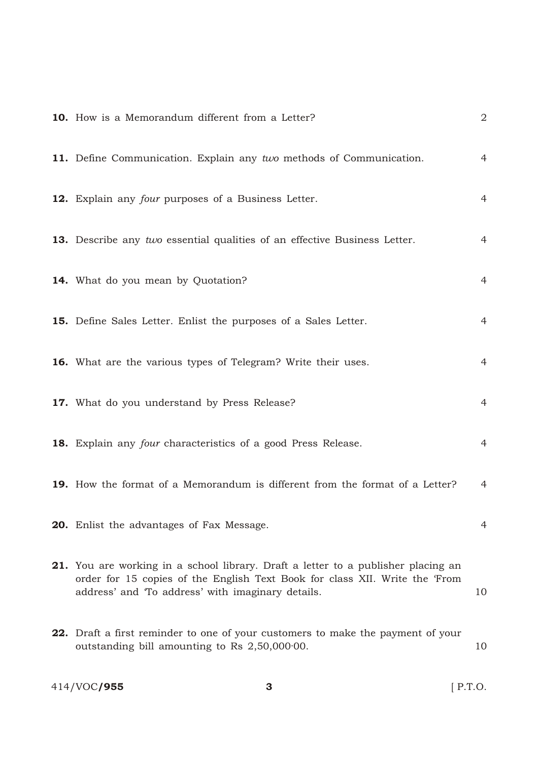| 10. How is a Memorandum different from a Letter?                                                                                                                                                                             | $\overline{2}$ |
|------------------------------------------------------------------------------------------------------------------------------------------------------------------------------------------------------------------------------|----------------|
| 11. Define Communication. Explain any two methods of Communication.                                                                                                                                                          | $\overline{4}$ |
| 12. Explain any four purposes of a Business Letter.                                                                                                                                                                          | $\overline{4}$ |
| 13. Describe any two essential qualities of an effective Business Letter.                                                                                                                                                    | $\overline{4}$ |
| 14. What do you mean by Quotation?                                                                                                                                                                                           | 4              |
| 15. Define Sales Letter. Enlist the purposes of a Sales Letter.                                                                                                                                                              | 4              |
| 16. What are the various types of Telegram? Write their uses.                                                                                                                                                                | $\overline{4}$ |
| 17. What do you understand by Press Release?                                                                                                                                                                                 | $\overline{4}$ |
| 18. Explain any four characteristics of a good Press Release.                                                                                                                                                                | $\overline{4}$ |
| 19. How the format of a Memorandum is different from the format of a Letter?                                                                                                                                                 | 4              |
| 20. Enlist the advantages of Fax Message.                                                                                                                                                                                    | 4              |
| <b>21.</b> You are working in a school library. Draft a letter to a publisher placing an<br>order for 15 copies of the English Text Book for class XII. Write the 'From<br>address' and 'To address' with imaginary details. | 10             |
| 22. Draft a first reminder to one of your customers to make the payment of your<br>outstanding bill amounting to Rs $2,50,000000$ .                                                                                          | 10             |
| 414/VOC/955<br>3                                                                                                                                                                                                             | $[$ P.T.O.     |